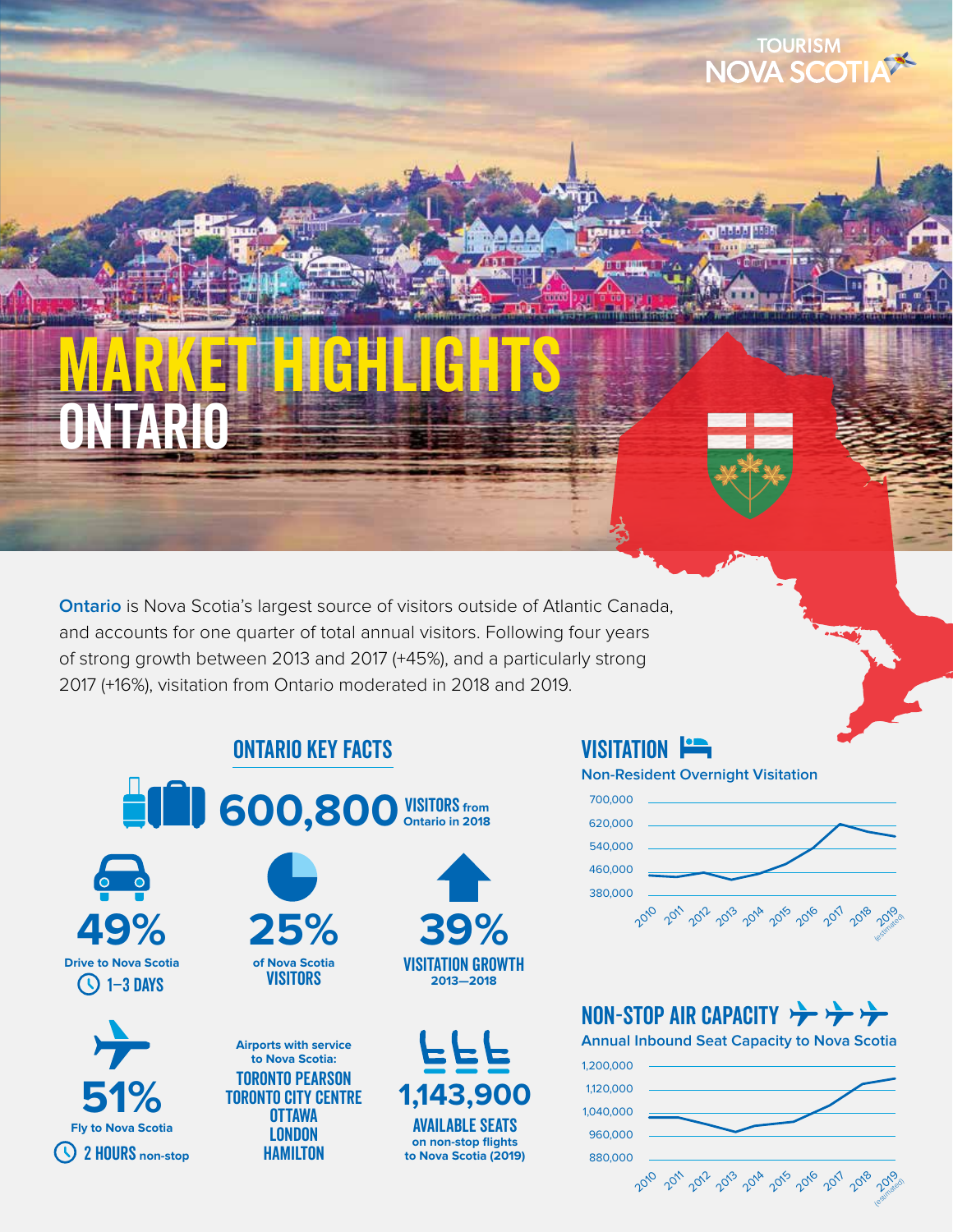# ONTARIO MARKET HIGHLIGHTS

**Ontario** is Nova Scotia's largest source of visitors outside of Atlantic Canada, and accounts for one quarter of total annual visitors. Following four years of strong growth between 2013 and 2017 (+45%), and a particularly strong 2017 (+16%), visitation from Ontario moderated in 2018 and 2019.

ONTARIO KEY FACTS







**Airports with service to Nova Scotia:** Toronto Pearson Toronto City Centre **OTTAWA LONDON** Hamilton





VISITATION **Fig. Non-Resident Overnight Visitation**



**TOURISM** NOVA SCOTIA

# NON-STOP AIR CAPACITY

**Annual Inbound Seat Capacity to Nova Scotia**

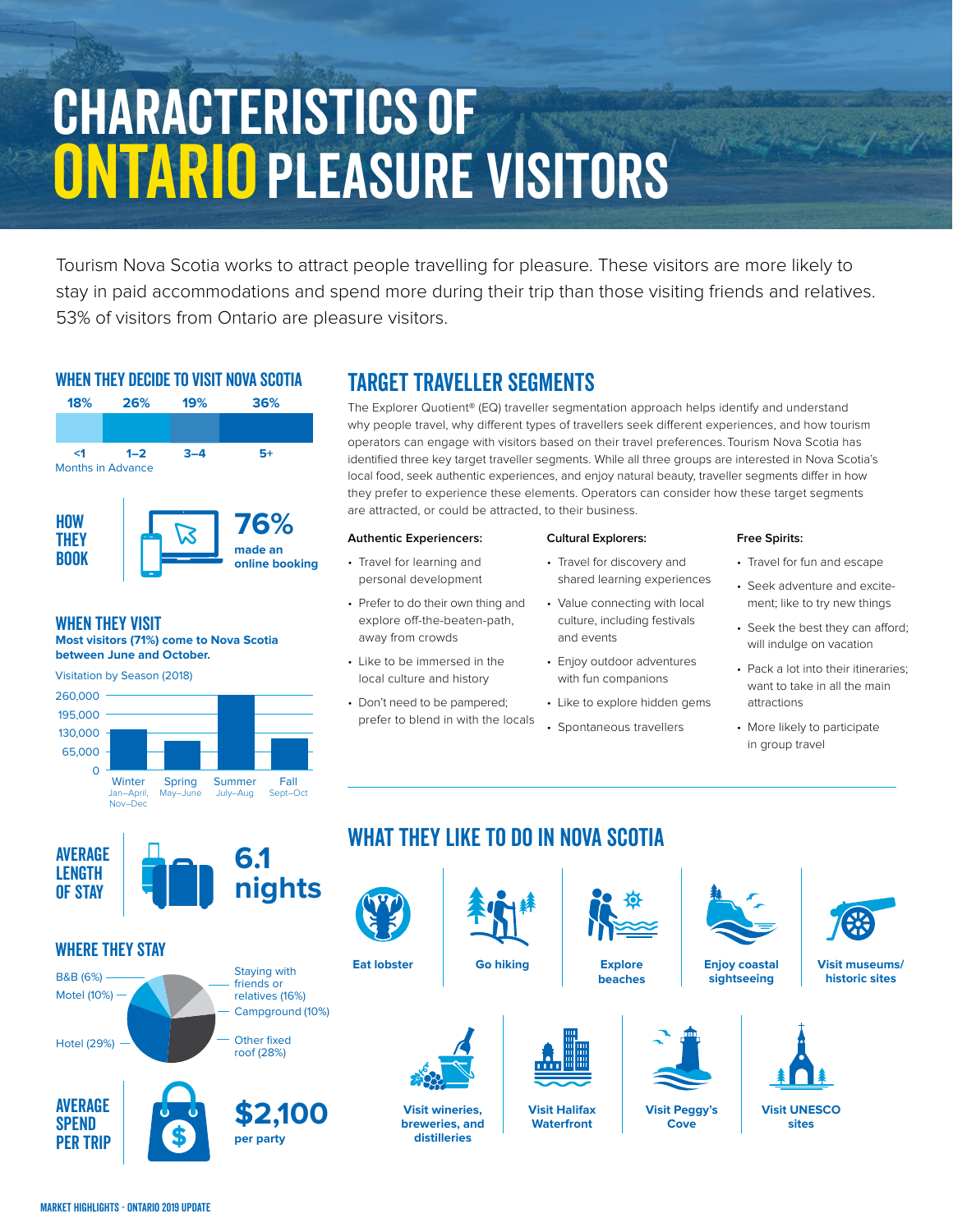# Characteristics of ONTARIO PLEASURE VISITORS

Tourism Nova Scotia works to attract people travelling for pleasure. These visitors are more likely to stay in paid accommodations and spend more during their trip than those visiting friends and relatives. 53% of visitors from Ontario are pleasure visitors.

#### WHEN THEY DECIDE TO VISIT NOVA SCOTIA



### WHEN THEY VISIT

**Most visitors (71%) come to Nova Scotia between June and October.**



# TARGET TRAVELLER SEGMENTS

The Explorer Quotient® (EQ) traveller segmentation approach helps identify and understand why people travel, why different types of travellers seek different experiences, and how tourism operators can engage with visitors based on their travel preferences. Tourism Nova Scotia has identified three key target traveller segments. While all three groups are interested in Nova Scotia's local food, seek authentic experiences, and enjoy natural beauty, traveller segments differ in how they prefer to experience these elements. Operators can consider how these target segments are attracted, or could be attracted, to their business.

#### **Authentic Experiencers:**

- Travel for learning and personal development
- Prefer to do their own thing and explore off-the-beaten-path, away from crowds
- Like to be immersed in the local culture and history
- Don't need to be pampered; prefer to blend in with the locals

WHAT THEY LIKE TO DO IN NOVA SCOTIA

**Go hiking**

#### **Cultural Explorers:**

- Travel for discovery and shared learning experiences
- Value connecting with local culture, including festivals and events
- Enjoy outdoor adventures with fun companions
- Like to explore hidden gems
- Spontaneous travellers

#### **Free Spirits:**

- Travel for fun and escape
- Seek adventure and excitement; like to try new things
- Seek the best they can afford; will indulge on vacation
- Pack a lot into their itineraries; want to take in all the main attractions
- More likely to participate in group travel



#### Where they Stay

Motel (10%) B&B (6%) Staying with

Hotel (29%)

**AVERAGE SPEND** Per Trip





friends or relatives (16%) Campground (10%)



**Visit wineries, breweries, and distilleries**



**Visit Halifax Waterfront**

**beaches**



**Visit Peggy's Cove**



**sightseeing**



**Visit museums/**

**Visit UNESCO sites**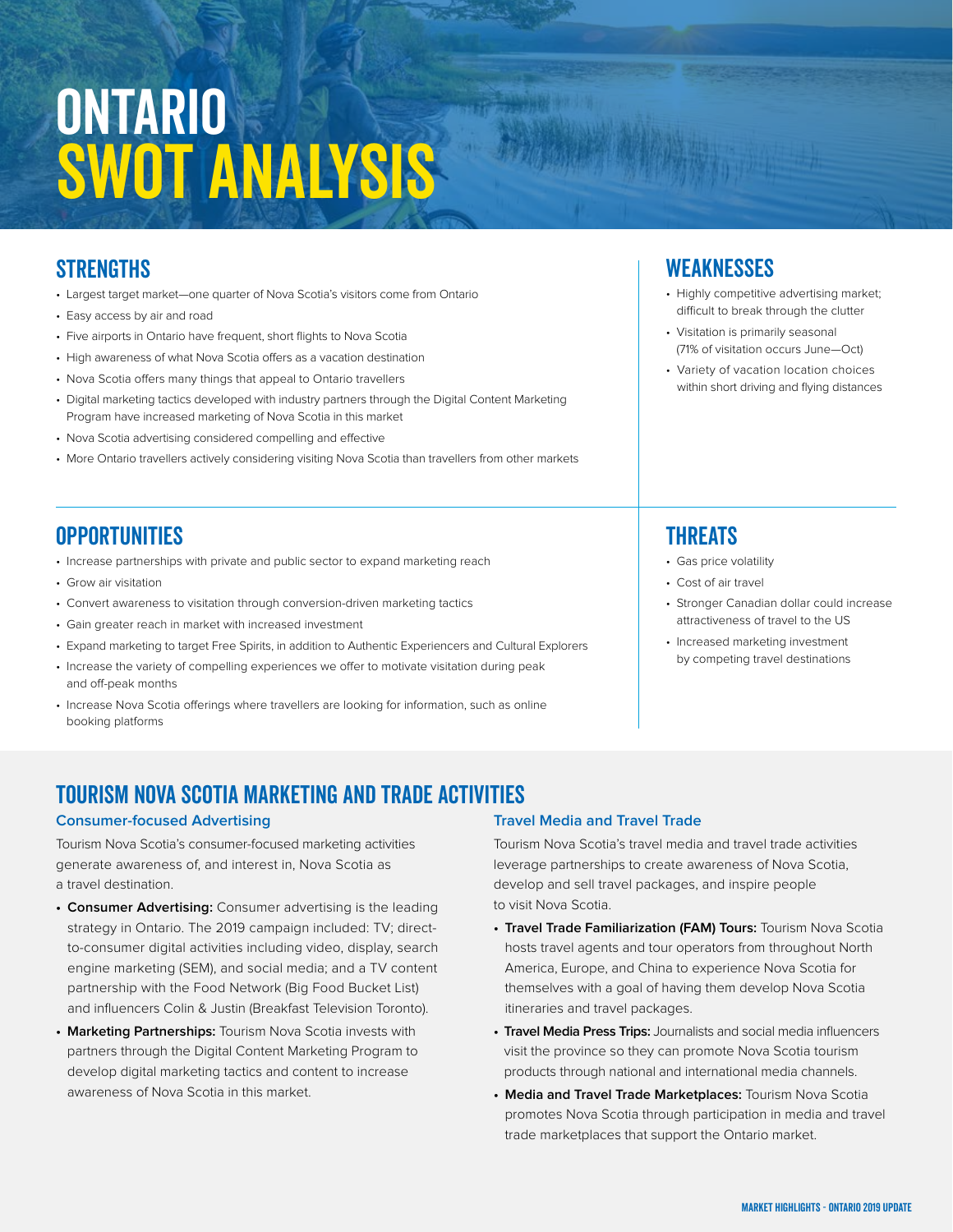# **ONTARIO** SWOT ANALYSIS

## **STRENGTHS**

- Largest target market—one quarter of Nova Scotia's visitors come from Ontario
- Easy access by air and road
- Five airports in Ontario have frequent, short flights to Nova Scotia
- High awareness of what Nova Scotia offers as a vacation destination
- Nova Scotia offers many things that appeal to Ontario travellers
- Digital marketing tactics developed with industry partners through the Digital Content Marketing Program have increased marketing of Nova Scotia in this market
- Nova Scotia advertising considered compelling and effective
- More Ontario travellers actively considering visiting Nova Scotia than travellers from other markets

#### **OPPORTUNITIES**

- •Increase partnerships with private and public sector to expand marketing reach
- Grow air visitation
- Convert awareness to visitation through conversion-driven marketing tactics
- Gain greater reach in market with increased investment
- Expand marketing to target Free Spirits, in addition to Authentic Experiencers and Cultural Explorers
- •Increase the variety of compelling experiences we offer to motivate visitation during peak and off-peak months
- •Increase Nova Scotia offerings where travellers are looking for information, such as online booking platforms

#### **WEAKNESSES**

- •Highly competitive advertising market; difficult to break through the clutter
- •Visitation is primarily seasonal (71% of visitation occurs June—Oct)
- •Variety of vacation location choices within short driving and flying distances

### **THREATS**

- Gas price volatility
- Cost of air travel
- Stronger Canadian dollar could increase attractiveness of travel to the US
- Increased marketing investment by competing travel destinations

### TOURISM NOVA SCOTIA MARKETING and Trade ACTIVITIES

#### **Consumer-focused Advertising**

Tourism Nova Scotia's consumer-focused marketing activities generate awareness of, and interest in, Nova Scotia as a travel destination.

- **• Consumer Advertising:** Consumer advertising is the leading strategy in Ontario. The 2019 campaign included: TV; directto-consumer digital activities including video, display, search engine marketing (SEM), and social media; and a TV content partnership with the Food Network (Big Food Bucket List) and influencers Colin & Justin (Breakfast Television Toronto).
- **• Marketing Partnerships:** Tourism Nova Scotia invests with partners through the Digital Content Marketing Program to develop digital marketing tactics and content to increase awareness of Nova Scotia in this market.

#### **Travel Media and Travel Trade**

Tourism Nova Scotia's travel media and travel trade activities leverage partnerships to create awareness of Nova Scotia, develop and sell travel packages, and inspire people to visit Nova Scotia.

- **• Travel Trade Familiarization (FAM) Tours:** Tourism Nova Scotia hosts travel agents and tour operators from throughout North America, Europe, and China to experience Nova Scotia for themselves with a goal of having them develop Nova Scotia itineraries and travel packages.
- **• Travel Media Press Trips:** Journalists and social media influencers visit the province so they can promote Nova Scotia tourism products through national and international media channels.
- **• Media and Travel Trade Marketplaces:** Tourism Nova Scotia promotes Nova Scotia through participation in media and travel trade marketplaces that support the Ontario market.